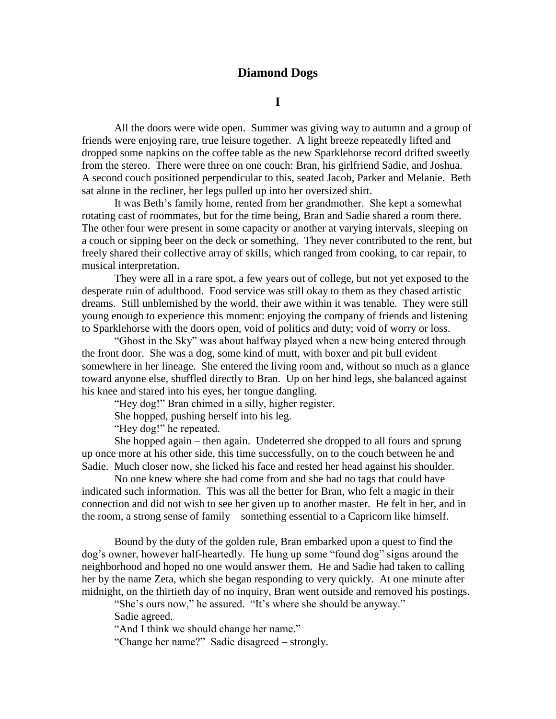## **Diamond Dogs**

## **I**

All the doors were wide open. Summer was giving way to autumn and a group of friends were enjoying rare, true leisure together. A light breeze repeatedly lifted and dropped some napkins on the coffee table as the new Sparklehorse record drifted sweetly from the stereo. There were three on one couch: Bran, his girlfriend Sadie, and Joshua. A second couch positioned perpendicular to this, seated Jacob, Parker and Melanie. Beth sat alone in the recliner, her legs pulled up into her oversized shirt.

It was Beth's family home, rented from her grandmother. She kept a somewhat rotating cast of roommates, but for the time being, Bran and Sadie shared a room there. The other four were present in some capacity or another at varying intervals, sleeping on a couch or sipping beer on the deck or something. They never contributed to the rent, but freely shared their collective array of skills, which ranged from cooking, to car repair, to musical interpretation.

They were all in a rare spot, a few years out of college, but not yet exposed to the desperate ruin of adulthood. Food service was still okay to them as they chased artistic dreams. Still unblemished by the world, their awe within it was tenable. They were still young enough to experience this moment: enjoying the company of friends and listening to Sparklehorse with the doors open, void of politics and duty; void of worry or loss.

"Ghost in the Sky" was about halfway played when a new being entered through the front door. She was a dog, some kind of mutt, with boxer and pit bull evident somewhere in her lineage. She entered the living room and, without so much as a glance toward anyone else, shuffled directly to Bran. Up on her hind legs, she balanced against his knee and stared into his eyes, her tongue dangling.

"Hey dog!" Bran chimed in a silly, higher register.

She hopped, pushing herself into his leg.

"Hey dog!" he repeated.

She hopped again – then again. Undeterred she dropped to all fours and sprung up once more at his other side, this time successfully, on to the couch between he and Sadie. Much closer now, she licked his face and rested her head against his shoulder.

No one knew where she had come from and she had no tags that could have indicated such information. This was all the better for Bran, who felt a magic in their connection and did not wish to see her given up to another master. He felt in her, and in the room, a strong sense of family – something essential to a Capricorn like himself.

Bound by the duty of the golden rule, Bran embarked upon a quest to find the dog"s owner, however half-heartedly. He hung up some "found dog" signs around the neighborhood and hoped no one would answer them. He and Sadie had taken to calling her by the name Zeta, which she began responding to very quickly. At one minute after midnight, on the thirtieth day of no inquiry, Bran went outside and removed his postings.

"She's ours now," he assured. "It's where she should be anyway."

Sadie agreed.

"And I think we should change her name."

"Change her name?" Sadie disagreed – strongly.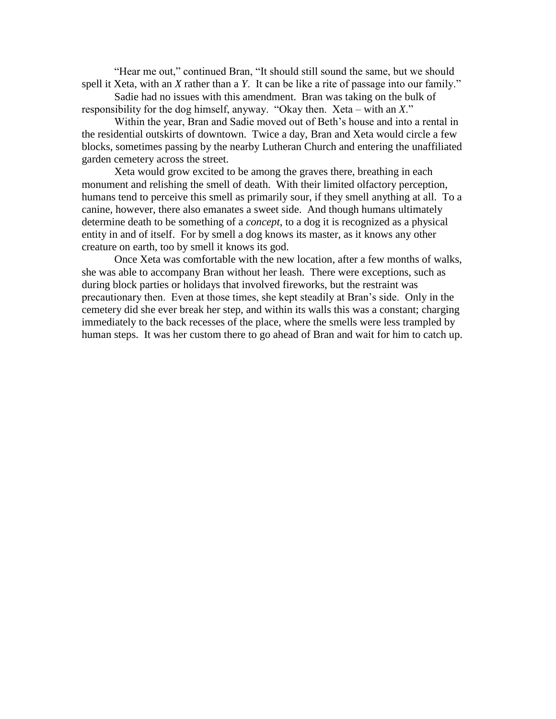"Hear me out," continued Bran, "It should still sound the same, but we should spell it Xeta, with an *X* rather than a *Y*. It can be like a rite of passage into our family."

Sadie had no issues with this amendment. Bran was taking on the bulk of responsibility for the dog himself, anyway. "Okay then. Xeta – with an *X*."

Within the year, Bran and Sadie moved out of Beth"s house and into a rental in the residential outskirts of downtown. Twice a day, Bran and Xeta would circle a few blocks, sometimes passing by the nearby Lutheran Church and entering the unaffiliated garden cemetery across the street.

Xeta would grow excited to be among the graves there, breathing in each monument and relishing the smell of death. With their limited olfactory perception, humans tend to perceive this smell as primarily sour, if they smell anything at all. To a canine, however, there also emanates a sweet side. And though humans ultimately determine death to be something of a *concept*, to a dog it is recognized as a physical entity in and of itself. For by smell a dog knows its master, as it knows any other creature on earth, too by smell it knows its god.

Once Xeta was comfortable with the new location, after a few months of walks, she was able to accompany Bran without her leash. There were exceptions, such as during block parties or holidays that involved fireworks, but the restraint was precautionary then. Even at those times, she kept steadily at Bran"s side. Only in the cemetery did she ever break her step, and within its walls this was a constant; charging immediately to the back recesses of the place, where the smells were less trampled by human steps. It was her custom there to go ahead of Bran and wait for him to catch up.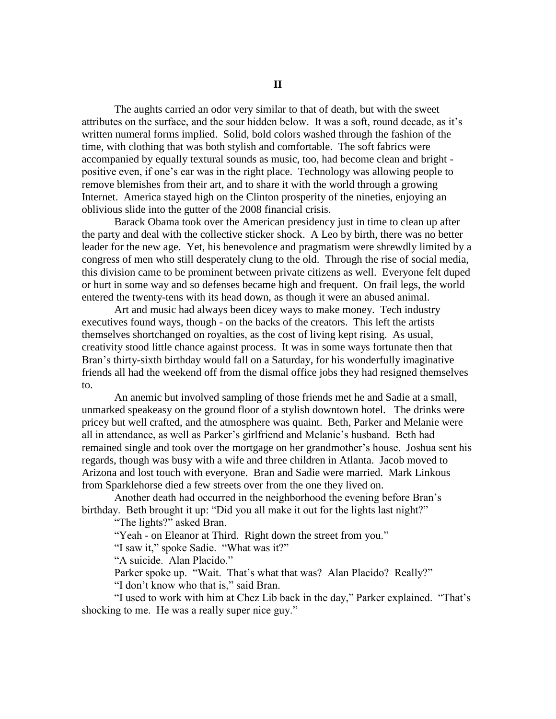The aughts carried an odor very similar to that of death, but with the sweet attributes on the surface, and the sour hidden below. It was a soft, round decade, as it"s written numeral forms implied. Solid, bold colors washed through the fashion of the time, with clothing that was both stylish and comfortable. The soft fabrics were accompanied by equally textural sounds as music, too, had become clean and bright positive even, if one"s ear was in the right place. Technology was allowing people to remove blemishes from their art, and to share it with the world through a growing Internet. America stayed high on the Clinton prosperity of the nineties, enjoying an oblivious slide into the gutter of the 2008 financial crisis.

Barack Obama took over the American presidency just in time to clean up after the party and deal with the collective sticker shock. A Leo by birth, there was no better leader for the new age. Yet, his benevolence and pragmatism were shrewdly limited by a congress of men who still desperately clung to the old. Through the rise of social media, this division came to be prominent between private citizens as well. Everyone felt duped or hurt in some way and so defenses became high and frequent. On frail legs, the world entered the twenty-tens with its head down, as though it were an abused animal.

Art and music had always been dicey ways to make money. Tech industry executives found ways, though - on the backs of the creators. This left the artists themselves shortchanged on royalties, as the cost of living kept rising. As usual, creativity stood little chance against process. It was in some ways fortunate then that Bran"s thirty-sixth birthday would fall on a Saturday, for his wonderfully imaginative friends all had the weekend off from the dismal office jobs they had resigned themselves to.

An anemic but involved sampling of those friends met he and Sadie at a small, unmarked speakeasy on the ground floor of a stylish downtown hotel. The drinks were pricey but well crafted, and the atmosphere was quaint. Beth, Parker and Melanie were all in attendance, as well as Parker"s girlfriend and Melanie"s husband. Beth had remained single and took over the mortgage on her grandmother"s house. Joshua sent his regards, though was busy with a wife and three children in Atlanta. Jacob moved to Arizona and lost touch with everyone. Bran and Sadie were married. Mark Linkous from Sparklehorse died a few streets over from the one they lived on.

Another death had occurred in the neighborhood the evening before Bran"s birthday. Beth brought it up: "Did you all make it out for the lights last night?"

"The lights?" asked Bran.

"Yeah - on Eleanor at Third. Right down the street from you."

"I saw it," spoke Sadie. "What was it?"

"A suicide. Alan Placido."

Parker spoke up. "Wait. That's what that was? Alan Placido? Really?"

"I don"t know who that is," said Bran.

"I used to work with him at Chez Lib back in the day," Parker explained. "That"s shocking to me. He was a really super nice guy."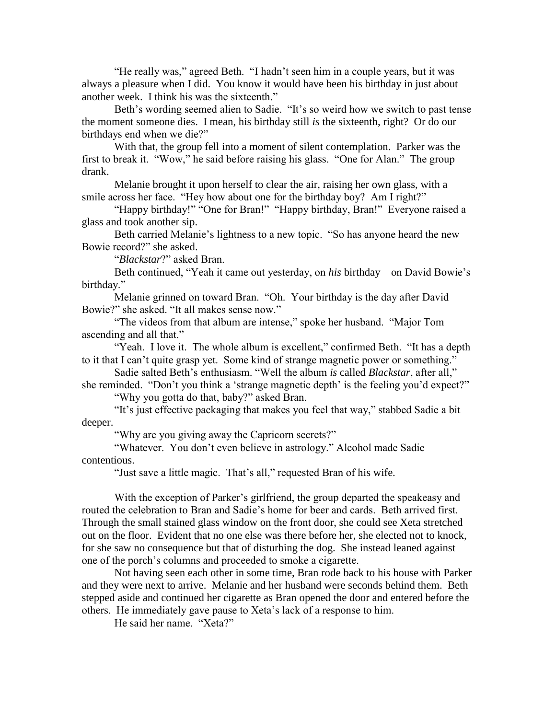"He really was," agreed Beth. "I hadn"t seen him in a couple years, but it was always a pleasure when I did. You know it would have been his birthday in just about another week. I think his was the sixteenth."

Beth's wording seemed alien to Sadie. "It's so weird how we switch to past tense the moment someone dies. I mean, his birthday still *is* the sixteenth, right? Or do our birthdays end when we die?"

With that, the group fell into a moment of silent contemplation. Parker was the first to break it. "Wow," he said before raising his glass. "One for Alan." The group drank.

Melanie brought it upon herself to clear the air, raising her own glass, with a smile across her face. "Hey how about one for the birthday boy? Am I right?"

"Happy birthday!" "One for Bran!" "Happy birthday, Bran!" Everyone raised a glass and took another sip.

Beth carried Melanie's lightness to a new topic. "So has anyone heard the new Bowie record?" she asked.

"*Blackstar*?" asked Bran.

Beth continued, "Yeah it came out yesterday, on *his* birthday – on David Bowie's birthday."

Melanie grinned on toward Bran. "Oh. Your birthday is the day after David Bowie?" she asked. "It all makes sense now."

"The videos from that album are intense," spoke her husband. "Major Tom ascending and all that."

"Yeah. I love it. The whole album is excellent," confirmed Beth. "It has a depth to it that I can"t quite grasp yet. Some kind of strange magnetic power or something."

Sadie salted Beth"s enthusiasm. "Well the album *is* called *Blackstar*, after all," she reminded. "Don't you think a 'strange magnetic depth' is the feeling you'd expect?"

"Why you gotta do that, baby?" asked Bran.

"It"s just effective packaging that makes you feel that way," stabbed Sadie a bit deeper.

"Why are you giving away the Capricorn secrets?"

"Whatever. You don"t even believe in astrology." Alcohol made Sadie contentious.

"Just save a little magic. That"s all," requested Bran of his wife.

With the exception of Parker's girlfriend, the group departed the speakeasy and routed the celebration to Bran and Sadie"s home for beer and cards. Beth arrived first. Through the small stained glass window on the front door, she could see Xeta stretched out on the floor. Evident that no one else was there before her, she elected not to knock, for she saw no consequence but that of disturbing the dog. She instead leaned against one of the porch"s columns and proceeded to smoke a cigarette.

Not having seen each other in some time, Bran rode back to his house with Parker and they were next to arrive. Melanie and her husband were seconds behind them. Beth stepped aside and continued her cigarette as Bran opened the door and entered before the others. He immediately gave pause to Xeta"s lack of a response to him.

He said her name. "Xeta?"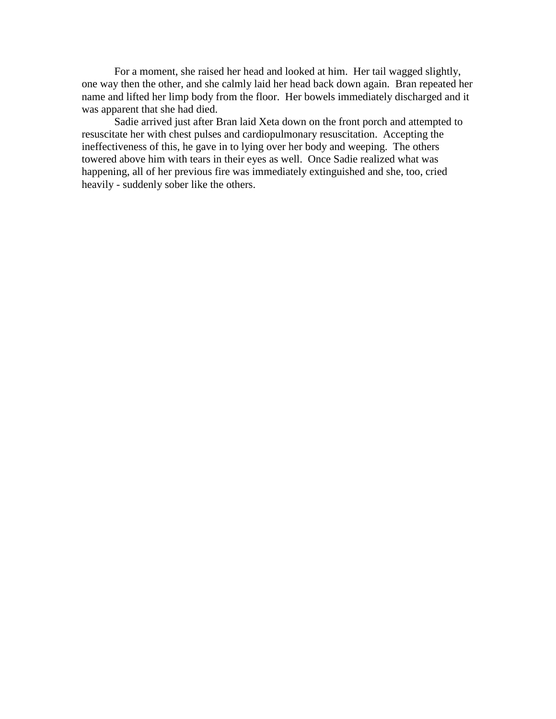For a moment, she raised her head and looked at him. Her tail wagged slightly, one way then the other, and she calmly laid her head back down again. Bran repeated her name and lifted her limp body from the floor. Her bowels immediately discharged and it was apparent that she had died.

Sadie arrived just after Bran laid Xeta down on the front porch and attempted to resuscitate her with chest pulses and cardiopulmonary resuscitation. Accepting the ineffectiveness of this, he gave in to lying over her body and weeping. The others towered above him with tears in their eyes as well. Once Sadie realized what was happening, all of her previous fire was immediately extinguished and she, too, cried heavily - suddenly sober like the others.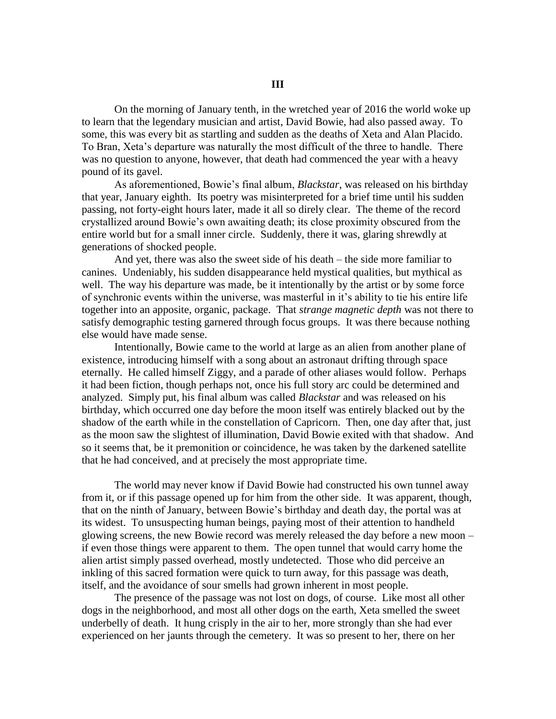On the morning of January tenth, in the wretched year of 2016 the world woke up to learn that the legendary musician and artist, David Bowie, had also passed away. To some, this was every bit as startling and sudden as the deaths of Xeta and Alan Placido. To Bran, Xeta"s departure was naturally the most difficult of the three to handle. There was no question to anyone, however, that death had commenced the year with a heavy pound of its gavel.

As aforementioned, Bowie"s final album, *Blackstar*, was released on his birthday that year, January eighth. Its poetry was misinterpreted for a brief time until his sudden passing, not forty-eight hours later, made it all so direly clear. The theme of the record crystallized around Bowie"s own awaiting death; its close proximity obscured from the entire world but for a small inner circle. Suddenly, there it was, glaring shrewdly at generations of shocked people.

And yet, there was also the sweet side of his death – the side more familiar to canines. Undeniably, his sudden disappearance held mystical qualities, but mythical as well. The way his departure was made, be it intentionally by the artist or by some force of synchronic events within the universe, was masterful in it"s ability to tie his entire life together into an apposite, organic, package. That *strange magnetic depth* was not there to satisfy demographic testing garnered through focus groups. It was there because nothing else would have made sense.

Intentionally, Bowie came to the world at large as an alien from another plane of existence, introducing himself with a song about an astronaut drifting through space eternally. He called himself Ziggy, and a parade of other aliases would follow. Perhaps it had been fiction, though perhaps not, once his full story arc could be determined and analyzed. Simply put, his final album was called *Blackstar* and was released on his birthday, which occurred one day before the moon itself was entirely blacked out by the shadow of the earth while in the constellation of Capricorn. Then, one day after that, just as the moon saw the slightest of illumination, David Bowie exited with that shadow. And so it seems that, be it premonition or coincidence, he was taken by the darkened satellite that he had conceived, and at precisely the most appropriate time.

The world may never know if David Bowie had constructed his own tunnel away from it, or if this passage opened up for him from the other side. It was apparent, though, that on the ninth of January, between Bowie"s birthday and death day, the portal was at its widest. To unsuspecting human beings, paying most of their attention to handheld glowing screens, the new Bowie record was merely released the day before a new moon – if even those things were apparent to them. The open tunnel that would carry home the alien artist simply passed overhead, mostly undetected. Those who did perceive an inkling of this sacred formation were quick to turn away, for this passage was death, itself, and the avoidance of sour smells had grown inherent in most people.

The presence of the passage was not lost on dogs, of course. Like most all other dogs in the neighborhood, and most all other dogs on the earth, Xeta smelled the sweet underbelly of death. It hung crisply in the air to her, more strongly than she had ever experienced on her jaunts through the cemetery. It was so present to her, there on her